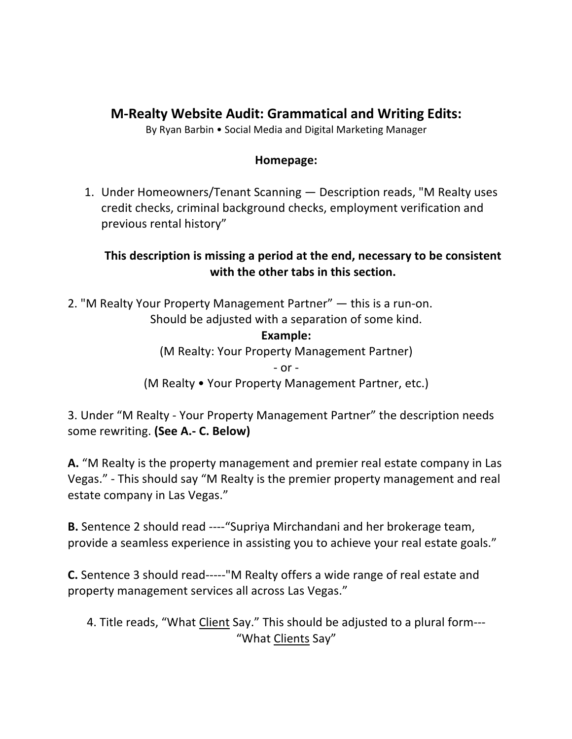# **M-Realty Website Audit: Grammatical and Writing Edits:**

By Ryan Barbin • Social Media and Digital Marketing Manager

#### **Homepage:**

1. Under Homeowners/Tenant Scanning — Description reads, "M Realty uses credit checks, criminal background checks, employment verification and previous rental history"

### **This description is missing a period at the end, necessary to be consistent with the other tabs in this section.**

2. "M Realty Your Property Management Partner" — this is a run-on. Should be adjusted with a separation of some kind.

> **Example:** (M Realty: Your Property Management Partner) - or - (M Realty • Your Property Management Partner, etc.)

3. Under "M Realty - Your Property Management Partner" the description needs some rewriting. **(See A.- C. Below)**

**A.** "M Realty is the property management and premier real estate company in Las Vegas." - This should say "M Realty is the premier property management and real estate company in Las Vegas."

**B.** Sentence 2 should read ----"Supriya Mirchandani and her brokerage team, provide a seamless experience in assisting you to achieve your real estate goals."

**C.** Sentence 3 should read-----"M Realty offers a wide range of real estate and property management services all across Las Vegas."

4. Title reads, "What Client Say." This should be adjusted to a plural form--- "What Clients Say"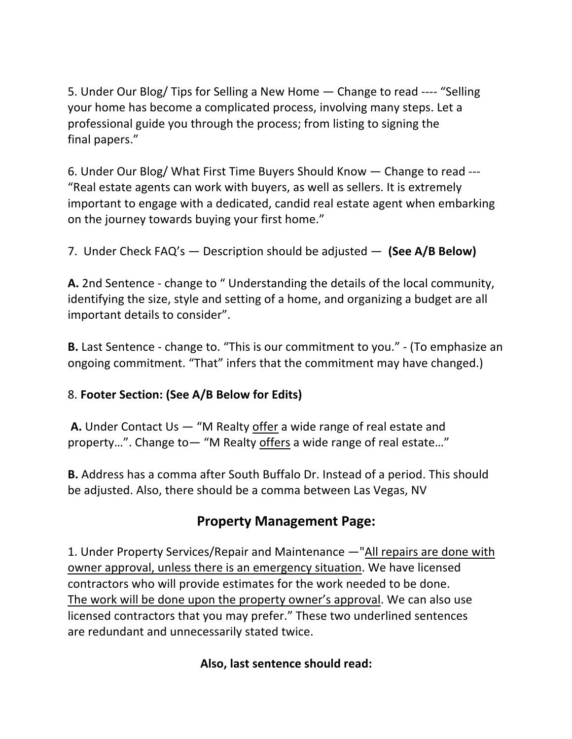5. Under Our Blog/ Tips for Selling a New Home — Change to read ---- "Selling your home has become a complicated process, involving many steps. Let a professional guide you through the process; from listing to signing the final papers."

6. Under Our Blog/ What First Time Buyers Should Know — Change to read --- "Real estate agents can work with buyers, as well as sellers. It is extremely important to engage with a dedicated, candid real estate agent when embarking on the journey towards buying your first home."

7. Under Check FAQ's — Description should be adjusted — **(See A/B Below)**

**A.** 2nd Sentence - change to " Understanding the details of the local community, identifying the size, style and setting of a home, and organizing a budget are all important details to consider".

**B.** Last Sentence - change to. "This is our commitment to you." - (To emphasize an ongoing commitment. "That" infers that the commitment may have changed.)

### 8. **Footer Section: (See A/B Below for Edits)**

**A.** Under Contact Us — "M Realty offer a wide range of real estate and property…". Change to— "M Realty offers a wide range of real estate…"

**B.** Address has a comma after South Buffalo Dr. Instead of a period. This should be adjusted. Also, there should be a comma between Las Vegas, NV

### **Property Management Page:**

1. Under Property Services/Repair and Maintenance —"All repairs are done with owner approval, unless there is an emergency situation. We have licensed contractors who will provide estimates for the work needed to be done. The work will be done upon the property owner's approval. We can also use licensed contractors that you may prefer." These two underlined sentences are redundant and unnecessarily stated twice.

#### **Also, last sentence should read:**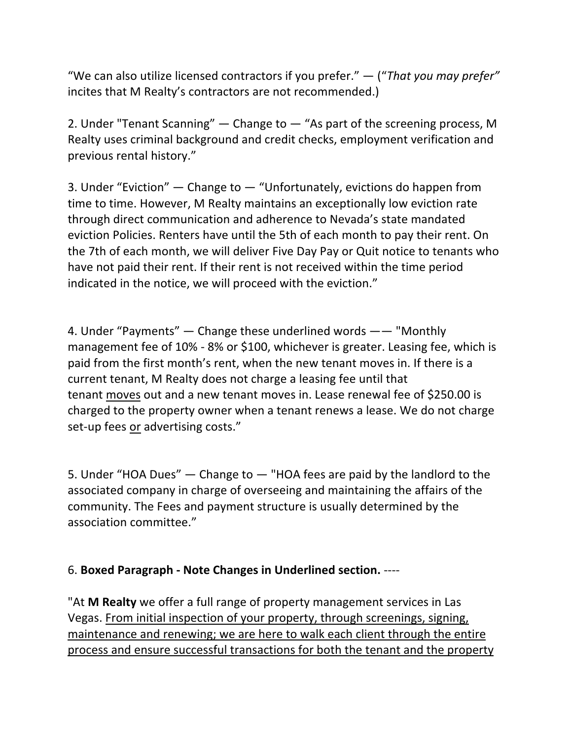"We can also utilize licensed contractors if you prefer." — ("*That you may prefer"* incites that M Realty's contractors are not recommended.)

2. Under "Tenant Scanning" — Change to — "As part of the screening process, M Realty uses criminal background and credit checks, employment verification and previous rental history."

3. Under "Eviction" — Change to — "Unfortunately, evictions do happen from time to time. However, M Realty maintains an exceptionally low eviction rate through direct communication and adherence to Nevada's state mandated eviction Policies. Renters have until the 5th of each month to pay their rent. On the 7th of each month, we will deliver Five Day Pay or Quit notice to tenants who have not paid their rent. If their rent is not received within the time period indicated in the notice, we will proceed with the eviction."

4. Under "Payments" — Change these underlined words —— "Monthly management fee of 10% - 8% or \$100, whichever is greater. Leasing fee, which is paid from the first month's rent, when the new tenant moves in. If there is a current tenant, M Realty does not charge a leasing fee until that tenant moves out and a new tenant moves in. Lease renewal fee of \$250.00 is charged to the property owner when a tenant renews a lease. We do not charge set-up fees or advertising costs."

5. Under "HOA Dues" — Change to — "HOA fees are paid by the landlord to the associated company in charge of overseeing and maintaining the affairs of the community. The Fees and payment structure is usually determined by the association committee."

#### 6. **Boxed Paragraph - Note Changes in Underlined section.** ----

"At **M Realty** we offer a full range of property management services in Las Vegas. From initial inspection of your property, through screenings, signing, maintenance and renewing; we are here to walk each client through the entire process and ensure successful transactions for both the tenant and the property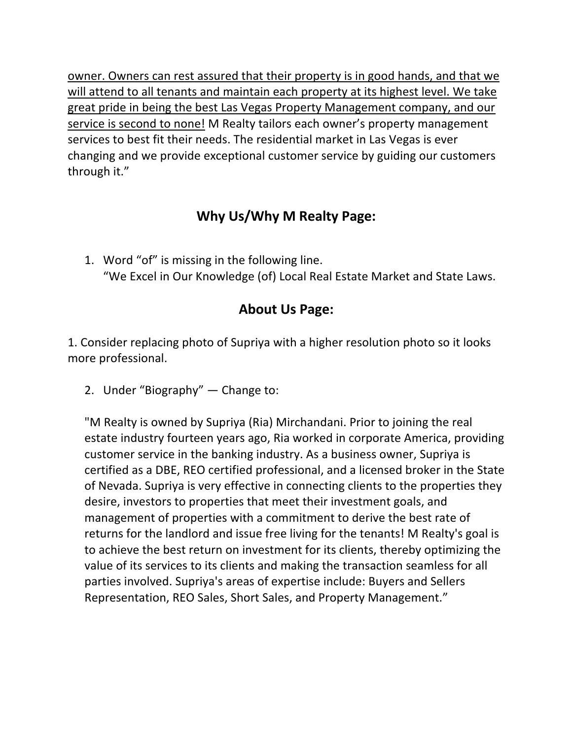owner. Owners can rest assured that their property is in good hands, and that we will attend to all tenants and maintain each property at its highest level. We take great pride in being the best Las Vegas Property Management company, and our service is second to none! M Realty tailors each owner's property management services to best fit their needs. The residential market in Las Vegas is ever changing and we provide exceptional customer service by guiding our customers through it."

## **Why Us/Why M Realty Page:**

1. Word "of" is missing in the following line. "We Excel in Our Knowledge (of) Local Real Estate Market and State Laws.

# **About Us Page:**

1. Consider replacing photo of Supriya with a higher resolution photo so it looks more professional.

2. Under "Biography" — Change to:

"M Realty is owned by Supriya (Ria) Mirchandani. Prior to joining the real estate industry fourteen years ago, Ria worked in corporate America, providing customer service in the banking industry. As a business owner, Supriya is certified as a DBE, REO certified professional, and a licensed broker in the State of Nevada. Supriya is very effective in connecting clients to the properties they desire, investors to properties that meet their investment goals, and management of properties with a commitment to derive the best rate of returns for the landlord and issue free living for the tenants! M Realty's goal is to achieve the best return on investment for its clients, thereby optimizing the value of its services to its clients and making the transaction seamless for all parties involved. Supriya's areas of expertise include: Buyers and Sellers Representation, REO Sales, Short Sales, and Property Management."